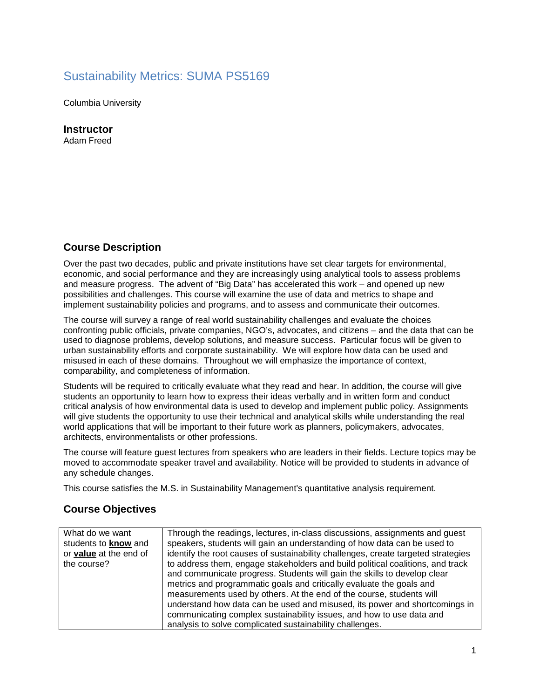# Sustainability Metrics: SUMA PS5169

Columbia University

**Instructor** 

Adam Freed

# **Course Description**

Over the past two decades, public and private institutions have set clear targets for environmental, economic, and social performance and they are increasingly using analytical tools to assess problems and measure progress. The advent of "Big Data" has accelerated this work – and opened up new possibilities and challenges. This course will examine the use of data and metrics to shape and implement sustainability policies and programs, and to assess and communicate their outcomes.

The course will survey a range of real world sustainability challenges and evaluate the choices confronting public officials, private companies, NGO's, advocates, and citizens – and the data that can be used to diagnose problems, develop solutions, and measure success. Particular focus will be given to urban sustainability efforts and corporate sustainability. We will explore how data can be used and misused in each of these domains. Throughout we will emphasize the importance of context, comparability, and completeness of information.

Students will be required to critically evaluate what they read and hear. In addition, the course will give students an opportunity to learn how to express their ideas verbally and in written form and conduct critical analysis of how environmental data is used to develop and implement public policy. Assignments will give students the opportunity to use their technical and analytical skills while understanding the real world applications that will be important to their future work as planners, policymakers, advocates, architects, environmentalists or other professions.

The course will feature guest lectures from speakers who are leaders in their fields. Lecture topics may be moved to accommodate speaker travel and availability. Notice will be provided to students in advance of any schedule changes.

This course satisfies the M.S. in Sustainability Management's quantitative analysis requirement.

# **Course Objectives**

| What do we want<br>students to know and<br>or value at the end of<br>the course? | Through the readings, lectures, in-class discussions, assignments and guest<br>speakers, students will gain an understanding of how data can be used to<br>identify the root causes of sustainability challenges, create targeted strategies<br>to address them, engage stakeholders and build political coalitions, and track<br>and communicate progress. Students will gain the skills to develop clear<br>metrics and programmatic goals and critically evaluate the goals and |
|----------------------------------------------------------------------------------|------------------------------------------------------------------------------------------------------------------------------------------------------------------------------------------------------------------------------------------------------------------------------------------------------------------------------------------------------------------------------------------------------------------------------------------------------------------------------------|
|                                                                                  | measurements used by others. At the end of the course, students will<br>understand how data can be used and misused, its power and shortcomings in<br>communicating complex sustainability issues, and how to use data and<br>analysis to solve complicated sustainability challenges.                                                                                                                                                                                             |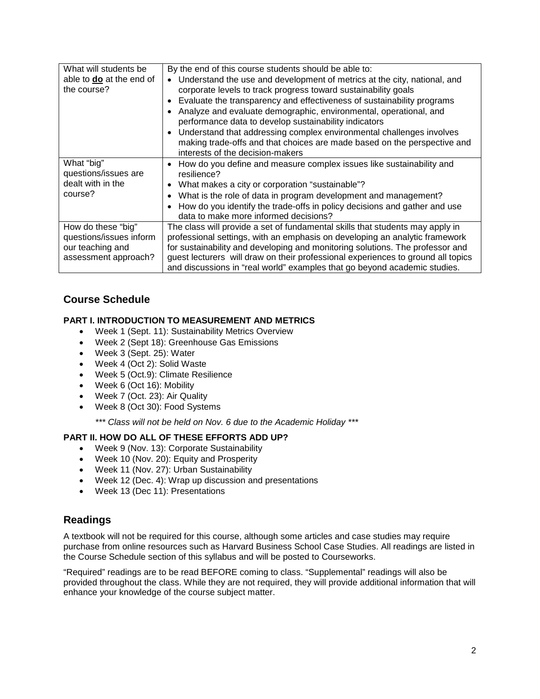| What will students be<br>able to <b>do</b> at the end of<br>the course?                   | By the end of this course students should be able to:<br>Understand the use and development of metrics at the city, national, and<br>$\bullet$<br>corporate levels to track progress toward sustainability goals<br>Evaluate the transparency and effectiveness of sustainability programs<br>Analyze and evaluate demographic, environmental, operational, and<br>performance data to develop sustainability indicators<br>Understand that addressing complex environmental challenges involves<br>$\bullet$<br>making trade-offs and that choices are made based on the perspective and<br>interests of the decision-makers |
|-------------------------------------------------------------------------------------------|-------------------------------------------------------------------------------------------------------------------------------------------------------------------------------------------------------------------------------------------------------------------------------------------------------------------------------------------------------------------------------------------------------------------------------------------------------------------------------------------------------------------------------------------------------------------------------------------------------------------------------|
| What "big"<br>questions/issues are<br>dealt with in the<br>course?                        | How do you define and measure complex issues like sustainability and<br>$\bullet$<br>resilience?<br>What makes a city or corporation "sustainable"?<br>$\bullet$<br>What is the role of data in program development and management?<br>How do you identify the trade-offs in policy decisions and gather and use<br>$\bullet$<br>data to make more informed decisions?                                                                                                                                                                                                                                                        |
| How do these "big"<br>questions/issues inform<br>our teaching and<br>assessment approach? | The class will provide a set of fundamental skills that students may apply in<br>professional settings, with an emphasis on developing an analytic framework<br>for sustainability and developing and monitoring solutions. The professor and<br>guest lecturers will draw on their professional experiences to ground all topics<br>and discussions in "real world" examples that go beyond academic studies.                                                                                                                                                                                                                |

# **Course Schedule**

### **PART I. INTRODUCTION TO MEASUREMENT AND METRICS**

- Week 1 (Sept. 11): Sustainability Metrics Overview
- Week 2 (Sept 18): Greenhouse Gas Emissions
- Week 3 (Sept. 25): Water
- Week 4 (Oct 2): Solid Waste
- Week 5 (Oct.9): Climate Resilience
- Week 6 (Oct 16): Mobility
- Week 7 (Oct. 23): Air Quality
- Week 8 (Oct 30): Food Systems

*\*\*\* Class will not be held on Nov. 6 due to the Academic Holiday \*\*\** 

# **PART II. HOW DO ALL OF THESE EFFORTS ADD UP?**

- Week 9 (Nov. 13): Corporate Sustainability
- Week 10 (Nov. 20): Equity and Prosperity
- Week 11 (Nov. 27): Urban Sustainability
- Week 12 (Dec. 4): Wrap up discussion and presentations
- Week 13 (Dec 11): Presentations

# **Readings**

A textbook will not be required for this course, although some articles and case studies may require purchase from online resources such as Harvard Business School Case Studies. All readings are listed in the Course Schedule section of this syllabus and will be posted to Courseworks.

"Required" readings are to be read BEFORE coming to class. "Supplemental" readings will also be provided throughout the class. While they are not required, they will provide additional information that will enhance your knowledge of the course subject matter.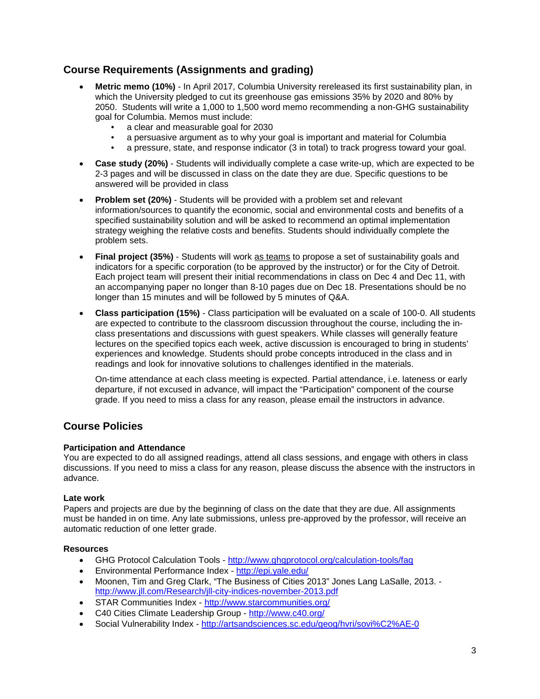# **Course Requirements (Assignments and grading)**

- **Metric memo (10%)** In April 2017, Columbia University rereleased its first sustainability plan, in which the University pledged to cut its greenhouse gas emissions 35% by 2020 and 80% by 2050. Students will write a 1,000 to 1,500 word memo recommending a non-GHG sustainability goal for Columbia. Memos must include:
	- a clear and measurable goal for 2030
	- a persuasive argument as to why your goal is important and material for Columbia
	- a pressure, state, and response indicator (3 in total) to track progress toward your goal.
- **Case study (20%)**  Students will individually complete a case write-up, which are expected to be 2-3 pages and will be discussed in class on the date they are due. Specific questions to be answered will be provided in class
- **Problem set (20%)** Students will be provided with a problem set and relevant information/sources to quantify the economic, social and environmental costs and benefits of a specified sustainability solution and will be asked to recommend an optimal implementation strategy weighing the relative costs and benefits. Students should individually complete the problem sets.
- **Final project (35%)** Students will work as teams to propose a set of sustainability goals and indicators for a specific corporation (to be approved by the instructor) or for the City of Detroit. Each project team will present their initial recommendations in class on Dec 4 and Dec 11, with an accompanying paper no longer than 8-10 pages due on Dec 18. Presentations should be no longer than 15 minutes and will be followed by 5 minutes of Q&A.
- **Class participation (15%)** Class participation will be evaluated on a scale of 100-0. All students are expected to contribute to the classroom discussion throughout the course, including the inclass presentations and discussions with guest speakers. While classes will generally feature lectures on the specified topics each week, active discussion is encouraged to bring in students' experiences and knowledge. Students should probe concepts introduced in the class and in readings and look for innovative solutions to challenges identified in the materials.

On-time attendance at each class meeting is expected. Partial attendance, i.e. lateness or early departure, if not excused in advance, will impact the "Participation" component of the course grade. If you need to miss a class for any reason, please email the instructors in advance.

# **Course Policies**

### **Participation and Attendance**

You are expected to do all assigned readings, attend all class sessions, and engage with others in class discussions. If you need to miss a class for any reason, please discuss the absence with the instructors in advance.

#### **Late work**

Papers and projects are due by the beginning of class on the date that they are due. All assignments must be handed in on time. Any late submissions, unless pre-approved by the professor, will receive an automatic reduction of one letter grade.

#### **Resources**

- GHG Protocol Calculation Tools <http://www.ghgprotocol.org/calculation-tools/faq>
- Environmental Performance Index <http://epi.yale.edu/>
- Moonen, Tim and Greg Clark, "The Business of Cities 2013" Jones Lang LaSalle, 2013. <http://www.jll.com/Research/jll-city-indices-november-2013.pdf>
- STAR Communities Index <http://www.starcommunities.org/>
- C40 Cities Climate Leadership Group <http://www.c40.org/>
- Social Vulnerability Index <http://artsandsciences.sc.edu/geog/hvri/sovi%C2%AE-0>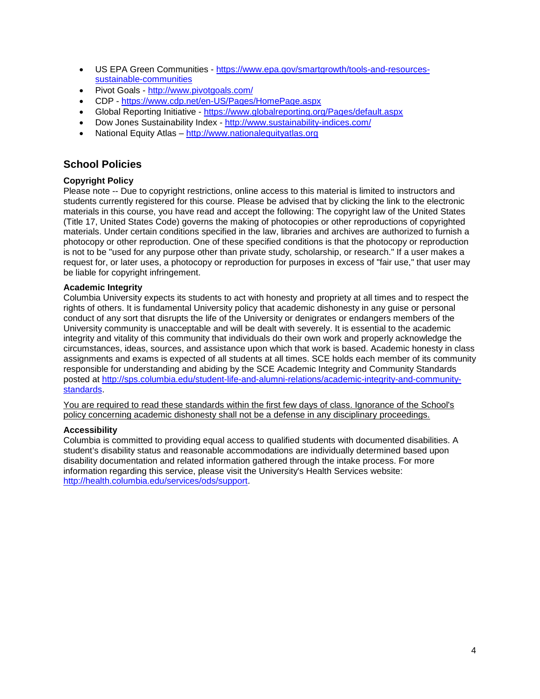- US EPA Green Communities [https://www.epa.gov/smartgrowth/tools-and-resources](https://www.epa.gov/smartgrowth/tools-and-resources-sustainable-communities)[sustainable-communities](https://www.epa.gov/smartgrowth/tools-and-resources-sustainable-communities)
- Pivot Goals <http://www.pivotgoals.com/>
- CDP <https://www.cdp.net/en-US/Pages/HomePage.aspx>
- Global Reporting Initiative <https://www.globalreporting.org/Pages/default.aspx>
- Dow Jones Sustainability Index <http://www.sustainability-indices.com/>
- National Equity Atlas [http://www.nationalequityatlas.org](http://www.nationalequityatlas.org/)

# **School Policies**

### **Copyright Policy**

Please note -- Due to copyright restrictions, online access to this material is limited to instructors and students currently registered for this course. Please be advised that by clicking the link to the electronic materials in this course, you have read and accept the following: The copyright law of the United States (Title 17, United States Code) governs the making of photocopies or other reproductions of copyrighted materials. Under certain conditions specified in the law, libraries and archives are authorized to furnish a photocopy or other reproduction. One of these specified conditions is that the photocopy or reproduction is not to be "used for any purpose other than private study, scholarship, or research." If a user makes a request for, or later uses, a photocopy or reproduction for purposes in excess of "fair use," that user may be liable for copyright infringement.

### **Academic Integrity**

Columbia University expects its students to act with honesty and propriety at all times and to respect the rights of others. It is fundamental University policy that academic dishonesty in any guise or personal conduct of any sort that disrupts the life of the University or denigrates or endangers members of the University community is unacceptable and will be dealt with severely. It is essential to the academic integrity and vitality of this community that individuals do their own work and properly acknowledge the circumstances, ideas, sources, and assistance upon which that work is based. Academic honesty in class assignments and exams is expected of all students at all times. SCE holds each member of its community responsible for understanding and abiding by the SCE Academic Integrity and Community Standards posted at [http://sps.columbia.edu/student-life-and-alumni-relations/academic-integrity-and-community](http://sps.columbia.edu/student-life-and-alumni-relations/academic-integrity-and-community-standards)[standards.](http://sps.columbia.edu/student-life-and-alumni-relations/academic-integrity-and-community-standards)

You are required to read these standards within the first few days of class. Ignorance of the School's policy concerning academic dishonesty shall not be a defense in any disciplinary proceedings.

### **Accessibility**

Columbia is committed to providing equal access to qualified students with documented disabilities. A student's disability status and reasonable accommodations are individually determined based upon disability documentation and related information gathered through the intake process. For more information regarding this service, please visit the University's Health Services website: [http://health.columbia.edu/services/ods/support.](http://health.columbia.edu/services/ods/support)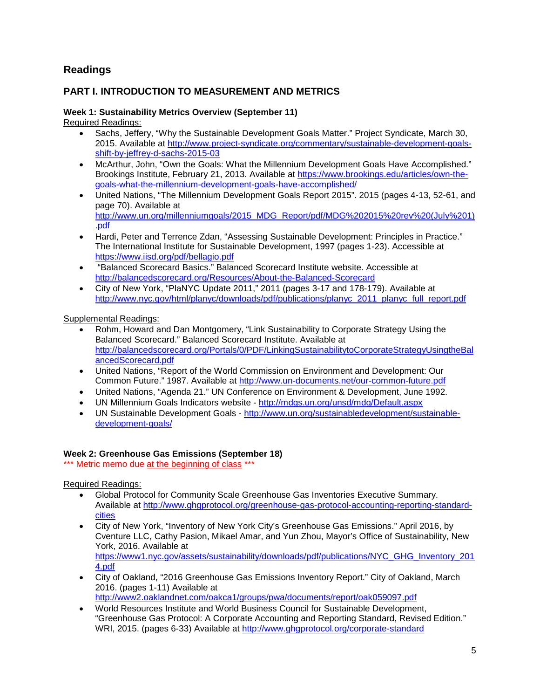# **Readings**

# **PART I. INTRODUCTION TO MEASUREMENT AND METRICS**

# **Week 1: Sustainability Metrics Overview (September 11)**

Required Readings:

- Sachs, Jeffery, "Why the Sustainable Development Goals Matter." Project Syndicate, March 30, 2015. Available at [http://www.project-syndicate.org/commentary/sustainable-development-goals](http://www.project-syndicate.org/commentary/sustainable-development-goals-shift-by-jeffrey-d-sachs-2015-03)[shift-by-jeffrey-d-sachs-2015-03](http://www.project-syndicate.org/commentary/sustainable-development-goals-shift-by-jeffrey-d-sachs-2015-03)
- McArthur, John, "Own the Goals: What the Millennium Development Goals Have Accomplished." Brookings Institute, February 21, 2013. Available at [https://www.brookings.edu/articles/own-the](https://www.brookings.edu/articles/own-the-goals-what-the-millennium-development-goals-have-accomplished/)[goals-what-the-millennium-development-goals-have-accomplished/](https://www.brookings.edu/articles/own-the-goals-what-the-millennium-development-goals-have-accomplished/)
- United Nations, "The Millennium Development Goals Report 2015". 2015 (pages 4-13, 52-61, and page 70). Available at [http://www.un.org/millenniumgoals/2015\\_MDG\\_Report/pdf/MDG%202015%20rev%20\(July%201\)](http://www.un.org/millenniumgoals/2015_MDG_Report/pdf/MDG%202015%20rev%20(July%201).pdf) [.pdf](http://www.un.org/millenniumgoals/2015_MDG_Report/pdf/MDG%202015%20rev%20(July%201).pdf)
- Hardi, Peter and Terrence Zdan, "Assessing Sustainable Development: Principles in Practice." The International Institute for Sustainable Development, 1997 (pages 1-23). Accessible at <https://www.iisd.org/pdf/bellagio.pdf>
- "Balanced Scorecard Basics." Balanced Scorecard Institute website. Accessible at <http://balancedscorecard.org/Resources/About-the-Balanced-Scorecard>
- City of New York, "PlaNYC Update 2011," 2011 (pages 3-17 and 178-179). Available at [http://www.nyc.gov/html/planyc/downloads/pdf/publications/planyc\\_2011\\_planyc\\_full\\_report.pdf](http://www.nyc.gov/html/planyc/downloads/pdf/publications/planyc_2011_planyc_full_report.pdf)

Supplemental Readings:

- Rohm, Howard and Dan Montgomery, "Link Sustainability to Corporate Strategy Using the Balanced Scorecard." Balanced Scorecard Institute. Available at [http://balancedscorecard.org/Portals/0/PDF/LinkingSustainabilitytoCorporateStrategyUsingtheBal](http://balancedscorecard.org/Portals/0/PDF/LinkingSustainabilitytoCorporateStrategyUsingtheBalancedScorecard.pdf) [ancedScorecard.pdf](http://balancedscorecard.org/Portals/0/PDF/LinkingSustainabilitytoCorporateStrategyUsingtheBalancedScorecard.pdf)
- United Nations, "Report of the World Commission on Environment and Development: Our Common Future." 1987. Available at<http://www.un-documents.net/our-common-future.pdf>
- United Nations, "Agenda 21." UN Conference on Environment & Development, June 1992.
- UN Millennium Goals Indicators website <http://mdgs.un.org/unsd/mdg/Default.aspx>
- UN Sustainable Development Goals [http://www.un.org/sustainabledevelopment/sustainable](http://www.un.org/sustainabledevelopment/sustainable-development-goals/)[development-goals/](http://www.un.org/sustainabledevelopment/sustainable-development-goals/)

### **Week 2: Greenhouse Gas Emissions (September 18)**

\*\*\* Metric memo due at the beginning of class \*\*\*

Required Readings:

- Global Protocol for Community Scale Greenhouse Gas Inventories Executive Summary. Available at [http://www.ghgprotocol.org/greenhouse-gas-protocol-accounting-reporting-standard](http://www.ghgprotocol.org/greenhouse-gas-protocol-accounting-reporting-standard-cities)[cities](http://www.ghgprotocol.org/greenhouse-gas-protocol-accounting-reporting-standard-cities)
- City of New York, "Inventory of New York City's Greenhouse Gas Emissions." April 2016, by Cventure LLC, Cathy Pasion, Mikael Amar, and Yun Zhou, Mayor's Office of Sustainability, New York, 2016. Available at [https://www1.nyc.gov/assets/sustainability/downloads/pdf/publications/NYC\\_GHG\\_Inventory\\_201](https://www1.nyc.gov/assets/sustainability/downloads/pdf/publications/NYC_GHG_Inventory_2014.pdf) [4.pdf](https://www1.nyc.gov/assets/sustainability/downloads/pdf/publications/NYC_GHG_Inventory_2014.pdf)
- City of Oakland, "2016 Greenhouse Gas Emissions Inventory Report." City of Oakland, March 2016. (pages 1-11) Available at

<http://www2.oaklandnet.com/oakca1/groups/pwa/documents/report/oak059097.pdf>

• World Resources Institute and World Business Council for Sustainable Development, "Greenhouse Gas Protocol: A Corporate Accounting and Reporting Standard, Revised Edition." WRI, 2015. (pages 6-33) Available at<http://www.ghgprotocol.org/corporate-standard>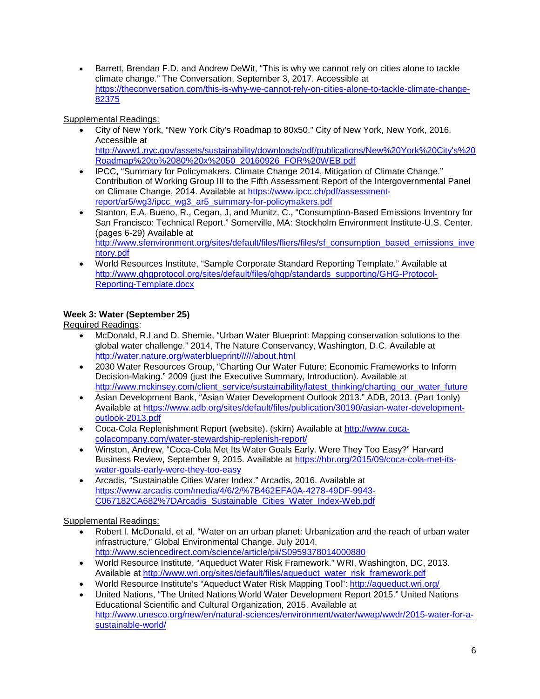• Barrett, Brendan F.D. and Andrew DeWit, "This is why we cannot rely on cities alone to tackle climate change." The Conversation, September 3, 2017. Accessible at [https://theconversation.com/this-is-why-we-cannot-rely-on-cities-alone-to-tackle-climate-change-](https://theconversation.com/this-is-why-we-cannot-rely-on-cities-alone-to-tackle-climate-change-82375)[82375](https://theconversation.com/this-is-why-we-cannot-rely-on-cities-alone-to-tackle-climate-change-82375)

### Supplemental Readings:

- City of New York, "New York City's Roadmap to 80x50." City of New York, New York, 2016. Accessible at [http://www1.nyc.gov/assets/sustainability/downloads/pdf/publications/New%20York%20City's%20](http://www1.nyc.gov/assets/sustainability/downloads/pdf/publications/New%20York%20City) [Roadmap%20to%2080%20x%2050\\_20160926\\_FOR%20WEB.pdf](http://www1.nyc.gov/assets/sustainability/downloads/pdf/publications/New%20York%20City)
- IPCC, "Summary for Policymakers. Climate Change 2014, Mitigation of Climate Change." Contribution of Working Group III to the Fifth Assessment Report of the Intergovernmental Panel on Climate Change, 2014. Available at [https://www.ipcc.ch/pdf/assessment](https://www.ipcc.ch/pdf/assessment-report/ar5/wg3/ipcc_wg3_ar5_summary-for-policymakers.pdf)[report/ar5/wg3/ipcc\\_wg3\\_ar5\\_summary-for-policymakers.pdf](https://www.ipcc.ch/pdf/assessment-report/ar5/wg3/ipcc_wg3_ar5_summary-for-policymakers.pdf)
- Stanton, E.A, Bueno, R., Cegan, J, and Munitz, C., "Consumption-Based Emissions Inventory for San Francisco: Technical Report." Somerville, MA: Stockholm Environment Institute-U.S. Center. (pages 6-29) Available at [http://www.sfenvironment.org/sites/default/files/fliers/files/sf\\_consumption\\_based\\_emissions\\_inve](http://www.sfenvironment.org/sites/default/files/fliers/files/sf_consumption_based_emissions_inventory.pdf) [ntory.pdf](http://www.sfenvironment.org/sites/default/files/fliers/files/sf_consumption_based_emissions_inventory.pdf)
- World Resources Institute, "Sample Corporate Standard Reporting Template." Available at [http://www.ghgprotocol.org/sites/default/files/ghgp/standards\\_supporting/GHG-Protocol-](http://www.ghgprotocol.org/sites/default/files/ghgp/standards_supporting/GHG-Protocol-Reporting-Template.docx)[Reporting-Template.docx](http://www.ghgprotocol.org/sites/default/files/ghgp/standards_supporting/GHG-Protocol-Reporting-Template.docx)

# **Week 3: Water (September 25)**

Required Readings:

- McDonald, R.I and D. Shemie, "Urban Water Blueprint: Mapping conservation solutions to the global water challenge." 2014, The Nature Conservancy, Washington, D.C. Available at [http://water.nature.org/waterblueprint//////about.html](http://water.nature.org/waterblueprint/about.html)
- 2030 Water Resources Group, "Charting Our Water Future: Economic Frameworks to Inform Decision-Making." 2009 (just the Executive Summary, Introduction). Available at [http://www.mckinsey.com/client\\_service/sustainability/latest\\_thinking/charting\\_our\\_water\\_future](http://www.mckinsey.com/client_service/sustainability/latest_thinking/charting_our_water_future)
- Asian Development Bank, "Asian Water Development Outlook 2013." ADB, 2013. (Part 1only) Available at [https://www.adb.org/sites/default/files/publication/30190/asian-water-development](https://www.adb.org/sites/default/files/publication/30190/asian-water-development-outlook-2013.pdf)[outlook-2013.pdf](https://www.adb.org/sites/default/files/publication/30190/asian-water-development-outlook-2013.pdf)
- Coca-Cola Replenishment Report (website). (skim) Available at [http://www.coca](http://www.coca-colacompany.com/water-stewardship-replenish-report/)[colacompany.com/water-stewardship-replenish-report/](http://www.coca-colacompany.com/water-stewardship-replenish-report/)
- Winston, Andrew, "Coca-Cola Met Its Water Goals Early. Were They Too Easy?" Harvard Business Review, September 9, 2015. Available at [https://hbr.org/2015/09/coca-cola-met-its](https://hbr.org/2015/09/coca-cola-met-its-water-goals-early-were-they-too-easy)[water-goals-early-were-they-too-easy](https://hbr.org/2015/09/coca-cola-met-its-water-goals-early-were-they-too-easy)
- Arcadis, "Sustainable Cities Water Index." Arcadis, 2016. Available at [https://www.arcadis.com/media/4/6/2/%7B462EFA0A-4278-49DF-9943-](https://www.arcadis.com/media/4/6/2/%7B462EFA0A-4278-49DF-9943-C067182CA682%7DArcadis_Sustainable_Cities_Water_Index-Web.pdf) [C067182CA682%7DArcadis\\_Sustainable\\_Cities\\_Water\\_Index-Web.pdf](https://www.arcadis.com/media/4/6/2/%7B462EFA0A-4278-49DF-9943-C067182CA682%7DArcadis_Sustainable_Cities_Water_Index-Web.pdf)

### Supplemental Readings:

- Robert I. McDonald, et al, "Water on an urban planet: Urbanization and the reach of urban water infrastructure," Global Environmental Change, July 2014. <http://www.sciencedirect.com/science/article/pii/S0959378014000880>
- World Resource Institute, "Aqueduct Water Risk Framework." WRI, Washington, DC, 2013. Available at [http://www.wri.org/sites/default/files/aqueduct\\_water\\_risk\\_framework.pdf](http://www.wri.org/sites/default/files/aqueduct_water_risk_framework.pdf)
- World Resource Institute's "Aqueduct Water Risk Mapping Tool":<http://aqueduct.wri.org/>
- United Nations, "The United Nations World Water Development Report 2015." United Nations Educational Scientific and Cultural Organization, 2015. Available at [http://www.unesco.org/new/en/natural-sciences/environment/water/wwap/wwdr/2015-water-for-a](http://www.unesco.org/new/en/natural-sciences/environment/water/wwap/wwdr/2015-water-for-a-sustainable-world/)[sustainable-world/](http://www.unesco.org/new/en/natural-sciences/environment/water/wwap/wwdr/2015-water-for-a-sustainable-world/)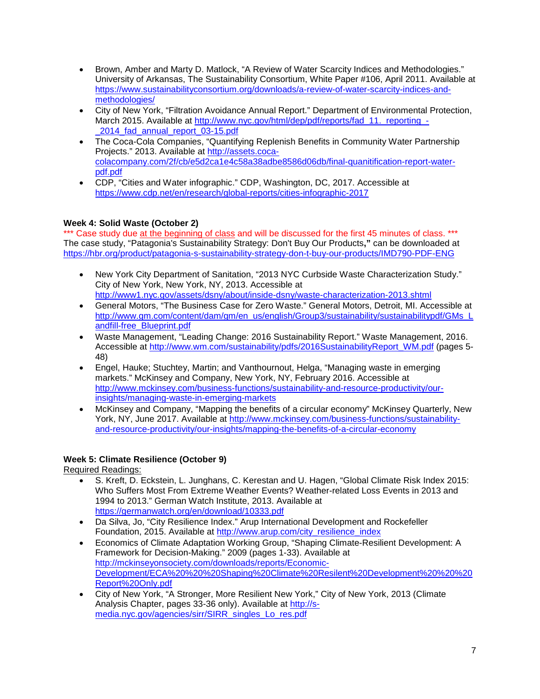- Brown, Amber and Marty D. Matlock, "A Review of Water Scarcity Indices and Methodologies." University of Arkansas, The Sustainability Consortium, White Paper #106, April 2011. Available at [https://www.sustainabilityconsortium.org/downloads/a-review-of-water-scarcity-indices-and](https://www.sustainabilityconsortium.org/downloads/a-review-of-water-scarcity-indices-and-methodologies/)[methodologies/](https://www.sustainabilityconsortium.org/downloads/a-review-of-water-scarcity-indices-and-methodologies/)
- City of New York, "Filtration Avoidance Annual Report." Department of Environmental Protection, March 2015. Available at [http://www.nyc.gov/html/dep/pdf/reports/fad\\_11.\\_reporting\\_-](http://www.nyc.gov/html/dep/pdf/reports/fad_11._reporting_-_2014_fad_annual_report_03-15.pdf) [\\_2014\\_fad\\_annual\\_report\\_03-15.pdf](http://www.nyc.gov/html/dep/pdf/reports/fad_11._reporting_-_2014_fad_annual_report_03-15.pdf)
- The Coca-Cola Companies, "Quantifying Replenish Benefits in Community Water Partnership Projects." 2013. Available at [http://assets.coca](http://assets.coca-colacompany.com/2f/cb/e5d2ca1e4c58a38adbe8586d06db/final-quanitification-report-water-pdf.pdf)[colacompany.com/2f/cb/e5d2ca1e4c58a38adbe8586d06db/final-quanitification-report-water](http://assets.coca-colacompany.com/2f/cb/e5d2ca1e4c58a38adbe8586d06db/final-quanitification-report-water-pdf.pdf)[pdf.pdf](http://assets.coca-colacompany.com/2f/cb/e5d2ca1e4c58a38adbe8586d06db/final-quanitification-report-water-pdf.pdf)
- CDP, "Cities and Water infographic." CDP, Washington, DC, 2017. Accessible at <https://www.cdp.net/en/research/global-reports/cities-infographic-2017>

# **Week 4: Solid Waste (October 2)**

\*\*\* Case study due at the beginning of class and will be discussed for the first 45 minutes of class. \*\*\* The case study, "Patagonia's Sustainability Strategy: Don't Buy Our Products**,"** can be downloaded at <https://hbr.org/product/patagonia-s-sustainability-strategy-don-t-buy-our-products/IMD790-PDF-ENG>

- New York City Department of Sanitation, "2013 NYC Curbside Waste Characterization Study." City of New York, New York, NY, 2013. Accessible at <http://www1.nyc.gov/assets/dsny/about/inside-dsny/waste-characterization-2013.shtml>
- General Motors, "The Business Case for Zero Waste." General Motors, Detroit, MI. Accessible at [http://www.gm.com/content/dam/gm/en\\_us/english/Group3/sustainability/sustainabilitypdf/GMs\\_L](http://www.gm.com/content/dam/gm/en_us/english/Group3/sustainability/sustainabilitypdf/GMs_Landfill-free_Blueprint.pdf) [andfill-free\\_Blueprint.pdf](http://www.gm.com/content/dam/gm/en_us/english/Group3/sustainability/sustainabilitypdf/GMs_Landfill-free_Blueprint.pdf)
- Waste Management, "Leading Change: 2016 Sustainability Report." Waste Management, 2016. Accessible at [http://www.wm.com/sustainability/pdfs/2016SustainabilityReport\\_WM.pdf](http://www.wm.com/sustainability/pdfs/2016SustainabilityReport_WM.pdf) (pages 5-48)
- Engel, Hauke; Stuchtey, Martin; and Vanthournout, Helga, "Managing waste in emerging markets." McKinsey and Company, New York, NY, February 2016. Accessible at [http://www.mckinsey.com/business-functions/sustainability-and-resource-productivity/our](http://www.mckinsey.com/business-functions/sustainability-and-resource-productivity/our-insights/managing-waste-in-emerging-markets)[insights/managing-waste-in-emerging-markets](http://www.mckinsey.com/business-functions/sustainability-and-resource-productivity/our-insights/managing-waste-in-emerging-markets)
- McKinsey and Company, "Mapping the benefits of a circular economy" McKinsey Quarterly, New York, NY, June 2017. Available at [http://www.mckinsey.com/business-functions/sustainability](http://www.mckinsey.com/business-functions/sustainability-and-resource-productivity/our-insights/mapping-the-benefits-of-a-circular-economy)[and-resource-productivity/our-insights/mapping-the-benefits-of-a-circular-economy](http://www.mckinsey.com/business-functions/sustainability-and-resource-productivity/our-insights/mapping-the-benefits-of-a-circular-economy)

### **Week 5: Climate Resilience (October 9)**

Required Readings:

- S. Kreft, D. Eckstein, L. Junghans, C. Kerestan and U. Hagen, "Global Climate Risk Index 2015: Who Suffers Most From Extreme Weather Events? Weather-related Loss Events in 2013 and 1994 to 2013." German Watch Institute, 2013. Available at <https://germanwatch.org/en/download/10333.pdf>
- Da Silva, Jo, "City Resilience Index." Arup International Development and Rockefeller Foundation, 2015. Available at [http://www.arup.com/city\\_resilience\\_index](http://www.arup.com/city_resilience_index)
- Economics of Climate Adaptation Working Group, "Shaping Climate-Resilient Development: A Framework for Decision-Making." 2009 (pages 1-33). Available at [http://mckinseyonsociety.com/downloads/reports/Economic-](http://mckinseyonsociety.com/downloads/reports/Economic-Development/ECA%20%20%20Shaping%20Climate%20Resilent%20Development%20%20%20Report%20Only.pdf)[Development/ECA%20%20%20Shaping%20Climate%20Resilent%20Development%20%20%20](http://mckinseyonsociety.com/downloads/reports/Economic-Development/ECA%20%20%20Shaping%20Climate%20Resilent%20Development%20%20%20Report%20Only.pdf) [Report%20Only.pdf](http://mckinseyonsociety.com/downloads/reports/Economic-Development/ECA%20%20%20Shaping%20Climate%20Resilent%20Development%20%20%20Report%20Only.pdf)
- City of New York, "A Stronger, More Resilient New York," City of New York, 2013 (Climate Analysis Chapter, pages 33-36 only). Available at [http://s](http://s-media.nyc.gov/agencies/sirr/SIRR_singles_Lo_res.pdf)[media.nyc.gov/agencies/sirr/SIRR\\_singles\\_Lo\\_res.pdf](http://s-media.nyc.gov/agencies/sirr/SIRR_singles_Lo_res.pdf)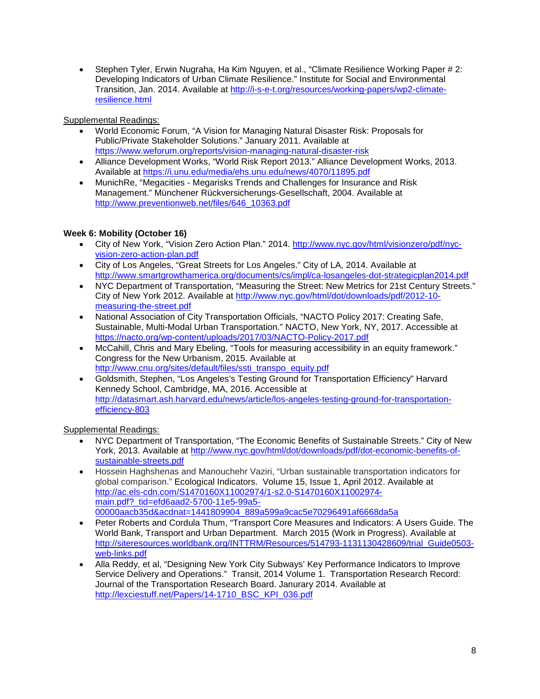• Stephen Tyler, Erwin Nugraha, Ha Kim Nguyen, et al., "Climate Resilience Working Paper # 2: Developing Indicators of Urban Climate Resilience." Institute for Social and Environmental Transition, Jan. 2014. Available at [http://i-s-e-t.org/resources/working-papers/wp2-climate](http://i-s-e-t.org/resources/working-papers/wp2-climate-resilience.html)[resilience.html](http://i-s-e-t.org/resources/working-papers/wp2-climate-resilience.html)

Supplemental Readings:

- World Economic Forum, "A Vision for Managing Natural Disaster Risk: Proposals for Public/Private Stakeholder Solutions." January 2011. Available at <https://www.weforum.org/reports/vision-managing-natural-disaster-risk>
- Alliance Development Works, "World Risk Report 2013." Alliance Development Works, 2013. Available at<https://i.unu.edu/media/ehs.unu.edu/news/4070/11895.pdf>
- MunichRe, "Megacities Megarisks Trends and Challenges for Insurance and Risk Management." Münchener Rückversicherungs-Gesellschaft, 2004. Available at [http://www.preventionweb.net/files/646\\_10363.pdf](http://www.preventionweb.net/files/646_10363.pdf)

# **Week 6: Mobility (October 16)**

- City of New York, "Vision Zero Action Plan." 2014. [http://www.nyc.gov/html/visionzero/pdf/nyc](http://www.nyc.gov/html/visionzero/pdf/nyc-vision-zero-action-plan.pdf)[vision-zero-action-plan.pdf](http://www.nyc.gov/html/visionzero/pdf/nyc-vision-zero-action-plan.pdf)
- City of Los Angeles, "Great Streets for Los Angeles." City of LA, 2014. Available at <http://www.smartgrowthamerica.org/documents/cs/impl/ca-losangeles-dot-strategicplan2014.pdf>
- NYC Department of Transportation, "Measuring the Street: New Metrics for 21st Century Streets." City of New York 2012. Available at [http://www.nyc.gov/html/dot/downloads/pdf/2012-10](http://www.nyc.gov/html/dot/downloads/pdf/2012-10-measuring-the-street.pdf) [measuring-the-street.pdf](http://www.nyc.gov/html/dot/downloads/pdf/2012-10-measuring-the-street.pdf)
- National Association of City Transportation Officials, "NACTO Policy 2017: Creating Safe, Sustainable, Multi-Modal Urban Transportation." NACTO, New York, NY, 2017. Accessible at <https://nacto.org/wp-content/uploads/2017/03/NACTO-Policy-2017.pdf>
- McCahill, Chris and Mary Ebeling, "Tools for measuring accessibility in an equity framework." Congress for the New Urbanism, 2015. Available at [http://www.cnu.org/sites/default/files/ssti\\_transpo\\_equity.pdf](http://www.cnu.org/sites/default/files/ssti_transpo_equity.pdf)
- Goldsmith, Stephen, "Los Angeles's Testing Ground for Transportation Efficiency" Harvard Kennedy School, Cambridge, MA, 2016. Accessible at [http://datasmart.ash.harvard.edu/news/article/los-angeles-testing-ground-for-transportation](http://datasmart.ash.harvard.edu/news/article/los-angeles-testing-ground-for-transportation-efficiency-803)[efficiency-803](http://datasmart.ash.harvard.edu/news/article/los-angeles-testing-ground-for-transportation-efficiency-803)

Supplemental Readings:

- NYC Department of Transportation, "The Economic Benefits of Sustainable Streets." City of New York, 2013. Available at [http://www.nyc.gov/html/dot/downloads/pdf/dot-economic-benefits-of](http://www.nyc.gov/html/dot/downloads/pdf/dot-economic-benefits-of-sustainable-streets.pdf)[sustainable-streets.pdf](http://www.nyc.gov/html/dot/downloads/pdf/dot-economic-benefits-of-sustainable-streets.pdf)
- Hossein Haghshenas and Manouchehr Vaziri, "Urban sustainable transportation indicators for global comparison." Ecological Indicators. Volume 15, Issue 1, April 2012. Available at [http://ac.els-cdn.com/S1470160X11002974/1-s2.0-S1470160X11002974](http://ac.els-cdn.com/S1470160X11002974/1-s2.0-S1470160X11002974-main.pdf?_tid=efd6aad2-5700-11e5-99a5-00000aacb35d&acdnat=1441809904_889a599a9cac5e70296491af6668da5a) main.pdf? tid=efd6aad2-5700-11e5-99a5-[00000aacb35d&acdnat=1441809904\\_889a599a9cac5e70296491af6668da5a](http://ac.els-cdn.com/S1470160X11002974/1-s2.0-S1470160X11002974-main.pdf?_tid=efd6aad2-5700-11e5-99a5-00000aacb35d&acdnat=1441809904_889a599a9cac5e70296491af6668da5a)
- Peter Roberts and Cordula Thum, "Transport Core Measures and Indicators: A Users Guide. The World Bank, Transport and Urban Department. March 2015 (Work in Progress). Available at [http://siteresources.worldbank.org/INTTRM/Resources/514793-1131130428609/trial\\_Guide0503](http://siteresources.worldbank.org/INTTRM/Resources/514793-1131130428609/trial_Guide0503-web-links.pdf) [web-links.pdf](http://siteresources.worldbank.org/INTTRM/Resources/514793-1131130428609/trial_Guide0503-web-links.pdf)
- Alla Reddy, et al, "Designing New York City Subways' Key Performance Indicators to Improve Service Delivery and Operations." Transit, 2014 Volume 1. Transportation Research Record: Journal of the Transportation Research Board. Janurary 2014. Available at [http://lexciestuff.net/Papers/14-1710\\_BSC\\_KPI\\_036.pdf](http://lexciestuff.net/Papers/14-1710_BSC_KPI_036.pdf)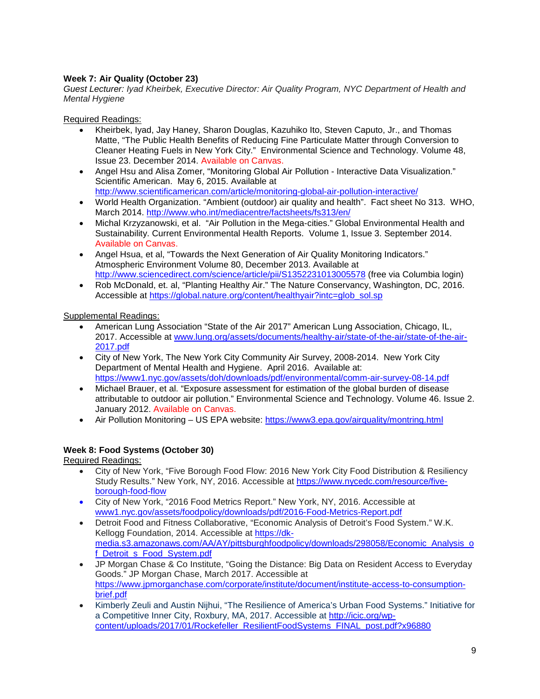# **Week 7: Air Quality (October 23)**

*Guest Lecturer: Iyad Kheirbek, Executive Director: Air Quality Program, NYC Department of Health and Mental Hygiene*

Required Readings:

- Kheirbek, Iyad, Jay Haney, Sharon Douglas, Kazuhiko Ito, Steven Caputo, Jr., and Thomas Matte, "The Public Health Benefits of Reducing Fine Particulate Matter through Conversion to Cleaner Heating Fuels in New York City." Environmental Science and Technology. Volume 48, Issue 23. December 2014. Available on Canvas.
- Angel Hsu and Alisa Zomer, "Monitoring Global Air Pollution Interactive Data Visualization." Scientific American. May 6, 2015. Available at <http://www.scientificamerican.com/article/monitoring-global-air-pollution-interactive/>
- World Health Organization. "Ambient (outdoor) air quality and health". Fact sheet No 313. WHO, March 2014.<http://www.who.int/mediacentre/factsheets/fs313/en/>
- Michal Krzyzanowski, et al. "Air Pollution in the Mega-cities." Global Environmental Health and Sustainability. Current Environmental Health Reports. Volume 1, Issue 3. September 2014. Available on Canvas.
- Angel Hsua, et al, "Towards the Next Generation of Air Quality Monitoring Indicators." Atmospheric Environment Volume 80, December 2013. Available at <http://www.sciencedirect.com/science/article/pii/S1352231013005578> (free via Columbia login)
- Rob McDonald, et. al, "Planting Healthy Air." The Nature Conservancy, Washington, DC, 2016. Accessible at [https://global.nature.org/content/healthyair?intc=glob\\_sol.sp](https://global.nature.org/content/healthyair?intc=glob_sol.sp)

Supplemental Readings:

- American Lung Association "State of the Air 2017" American Lung Association, Chicago, IL, 2017. Accessible at [www.lung.org/assets/documents/healthy-air/state-of-the-air/state-of-the-air-](http://www.lung.org/assets/documents/healthy-air/state-of-the-air/state-of-the-air-2017.pdf)[2017.pdf](http://www.lung.org/assets/documents/healthy-air/state-of-the-air/state-of-the-air-2017.pdf)
- City of New York, The New York City Community Air Survey, 2008-2014. New York City Department of Mental Health and Hygiene. April 2016. Available at: <https://www1.nyc.gov/assets/doh/downloads/pdf/environmental/comm-air-survey-08-14.pdf>
- Michael Brauer, et al. "Exposure assessment for estimation of the global burden of disease attributable to outdoor air pollution." Environmental Science and Technology. Volume 46. Issue 2. January 2012. Available on Canvas.
- Air Pollution Monitoring US EPA website:<https://www3.epa.gov/airquality/montring.html>

### **Week 8: Food Systems (October 30)**

Required Readings:

- City of New York, "Five Borough Food Flow: 2016 New York City Food Distribution & Resiliency Study Results." New York, NY, 2016. Accessible at [https://www.nycedc.com/resource/five](https://www.nycedc.com/resource/five-borough-food-flow)[borough-food-flow](https://www.nycedc.com/resource/five-borough-food-flow)
- City of New York, "2016 Food Metrics Report." New York, NY, 2016. Accessible at www1.nyc.gov/assets/foodpolicy/downloads/pdf/2016-Food-Metrics-Report.pdf
- Detroit Food and Fitness Collaborative, "Economic Analysis of Detroit's Food System." W.K. Kellogg Foundation, 2014. Accessible at [https://dk](https://dk-media.s3.amazonaws.com/AA/AY/pittsburghfoodpolicy/downloads/298058/Economic_Analysis_of_Detroit_s_Food_System.pdf)[media.s3.amazonaws.com/AA/AY/pittsburghfoodpolicy/downloads/298058/Economic\\_Analysis\\_o](https://dk-media.s3.amazonaws.com/AA/AY/pittsburghfoodpolicy/downloads/298058/Economic_Analysis_of_Detroit_s_Food_System.pdf) [f\\_Detroit\\_s\\_Food\\_System.pdf](https://dk-media.s3.amazonaws.com/AA/AY/pittsburghfoodpolicy/downloads/298058/Economic_Analysis_of_Detroit_s_Food_System.pdf)
- JP Morgan Chase & Co Institute, "Going the Distance: Big Data on Resident Access to Everyday Goods." JP Morgan Chase, March 2017. Accessible at [https://www.jpmorganchase.com/corporate/institute/document/institute-access-to-consumption](https://www.jpmorganchase.com/corporate/institute/document/institute-access-to-consumption-brief.pdf)[brief.pdf](https://www.jpmorganchase.com/corporate/institute/document/institute-access-to-consumption-brief.pdf)
- Kimberly Zeuli and Austin Nijhui, "The Resilience of America's Urban Food Systems." Initiative for a Competitive Inner City, Roxbury, MA, 2017. Accessible at [http://icic.org/wp](http://icic.org/wp-content/uploads/2017/01/Rockefeller_ResilientFoodSystems_FINAL_post.pdf?x96880)[content/uploads/2017/01/Rockefeller\\_ResilientFoodSystems\\_FINAL\\_post.pdf?x96880](http://icic.org/wp-content/uploads/2017/01/Rockefeller_ResilientFoodSystems_FINAL_post.pdf?x96880)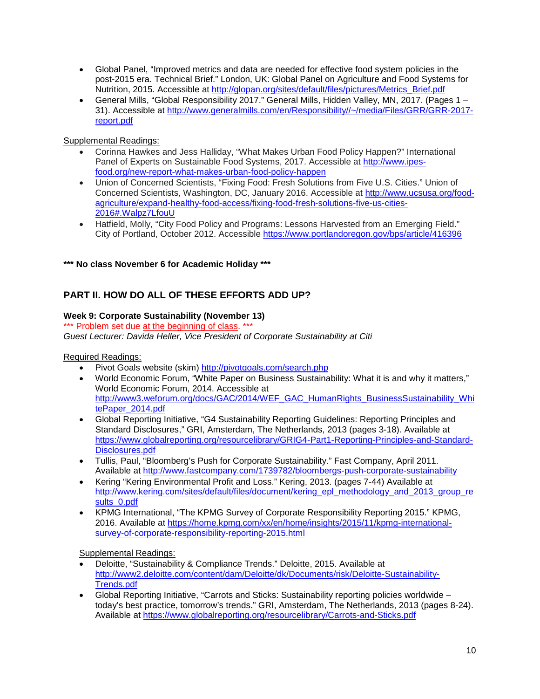- Global Panel, "Improved metrics and data are needed for effective food system policies in the post-2015 era. Technical Brief." London, UK: Global Panel on Agriculture and Food Systems for Nutrition, 2015. Accessible at [http://glopan.org/sites/default/files/pictures/Metrics\\_Brief.pdf](http://glopan.org/sites/default/files/pictures/Metrics_Brief.pdf)
- General Mills, "Global Responsibility 2017." General Mills, Hidden Valley, MN, 2017. (Pages 1 31). Accessible at [http://www.generalmills.com/en/Responsibility//~/media/Files/GRR/GRR-2017](http://www.generalmills.com/en/Responsibility/%7E/media/Files/GRR/GRR-2017-report.pdf) [report.pdf](http://www.generalmills.com/en/Responsibility/%7E/media/Files/GRR/GRR-2017-report.pdf)

Supplemental Readings:

- Corinna Hawkes and Jess Halliday, "What Makes Urban Food Policy Happen?" International Panel of Experts on Sustainable Food Systems, 2017. Accessible at [http://www.ipes](http://www.ipes-food.org/new-report-what-makes-urban-food-policy-happen)[food.org/new-report-what-makes-urban-food-policy-happen](http://www.ipes-food.org/new-report-what-makes-urban-food-policy-happen)
- Union of Concerned Scientists, "Fixing Food: Fresh Solutions from Five U.S. Cities." Union of Concerned Scientists, Washington, DC, January 2016. Accessible at [http://www.ucsusa.org/food](http://www.ucsusa.org/food-agriculture/expand-healthy-food-access/fixing-food-fresh-solutions-five-us-cities-2016#.Walpz7LfouU)[agriculture/expand-healthy-food-access/fixing-food-fresh-solutions-five-us-cities-](http://www.ucsusa.org/food-agriculture/expand-healthy-food-access/fixing-food-fresh-solutions-five-us-cities-2016#.Walpz7LfouU)[2016#.Walpz7LfouU](http://www.ucsusa.org/food-agriculture/expand-healthy-food-access/fixing-food-fresh-solutions-five-us-cities-2016#.Walpz7LfouU)
- Hatfield, Molly, "City Food Policy and Programs: Lessons Harvested from an Emerging Field." City of Portland, October 2012. Accessible<https://www.portlandoregon.gov/bps/article/416396>

### **\*\*\* No class November 6 for Academic Holiday \*\*\***

# **PART II. HOW DO ALL OF THESE EFFORTS ADD UP?**

### **Week 9: Corporate Sustainability (November 13)**

\*\*\* Problem set due at the beginning of class. \*\*\* *Guest Lecturer: Davida Heller, Vice President of Corporate Sustainability at Citi*

Required Readings:

- Pivot Goals website (skim)<http://pivotgoals.com/search.php>
- World Economic Forum, "White Paper on Business Sustainability: What it is and why it matters," World Economic Forum, 2014. Accessible at [http://www3.weforum.org/docs/GAC/2014/WEF\\_GAC\\_HumanRights\\_BusinessSustainability\\_Whi](http://www3.weforum.org/docs/GAC/2014/WEF_GAC_HumanRights_BusinessSustainability_WhitePaper_2014.pdf) [tePaper\\_2014.pdf](http://www3.weforum.org/docs/GAC/2014/WEF_GAC_HumanRights_BusinessSustainability_WhitePaper_2014.pdf)
- Global Reporting Initiative, "G4 Sustainability Reporting Guidelines: Reporting Principles and Standard Disclosures," GRI, Amsterdam, The Netherlands, 2013 (pages 3-18). Available at [https://www.globalreporting.org/resourcelibrary/GRIG4-Part1-Reporting-Principles-and-Standard-](https://www.globalreporting.org/resourcelibrary/GRIG4-Part1-Reporting-Principles-and-Standard-Disclosures.pdf)[Disclosures.pdf](https://www.globalreporting.org/resourcelibrary/GRIG4-Part1-Reporting-Principles-and-Standard-Disclosures.pdf)
- Tullis, Paul, "Bloomberg's Push for Corporate Sustainability." Fast Company, April 2011. Available at<http://www.fastcompany.com/1739782/bloombergs-push-corporate-sustainability>
- Kering "Kering Environmental Profit and Loss." Kering, 2013. (pages 7-44) Available at [http://www.kering.com/sites/default/files/document/kering\\_epl\\_methodology\\_and\\_2013\\_group\\_re](http://www.kering.com/sites/default/files/document/kering_epl_methodology_and_2013_group_results_0.pdf) [sults\\_0.pdf](http://www.kering.com/sites/default/files/document/kering_epl_methodology_and_2013_group_results_0.pdf)
- KPMG International, "The KPMG Survey of Corporate Responsibility Reporting 2015." KPMG, 2016. Available at [https://home.kpmg.com/xx/en/home/insights/2015/11/kpmg-international](https://home.kpmg.com/xx/en/home/insights/2015/11/kpmg-international-survey-of-corporate-responsibility-reporting-2015.html)[survey-of-corporate-responsibility-reporting-2015.html](https://home.kpmg.com/xx/en/home/insights/2015/11/kpmg-international-survey-of-corporate-responsibility-reporting-2015.html)

Supplemental Readings:

- Deloitte, "Sustainability & Compliance Trends." Deloitte, 2015. Available at [http://www2.deloitte.com/content/dam/Deloitte/dk/Documents/risk/Deloitte-Sustainability-](http://www2.deloitte.com/content/dam/Deloitte/dk/Documents/risk/Deloitte-Sustainability-Trends.pdf)[Trends.pdf](http://www2.deloitte.com/content/dam/Deloitte/dk/Documents/risk/Deloitte-Sustainability-Trends.pdf)
- Global Reporting Initiative, "Carrots and Sticks: Sustainability reporting policies worldwide today's best practice, tomorrow's trends." GRI, Amsterdam, The Netherlands, 2013 (pages 8-24). Available at<https://www.globalreporting.org/resourcelibrary/Carrots-and-Sticks.pdf>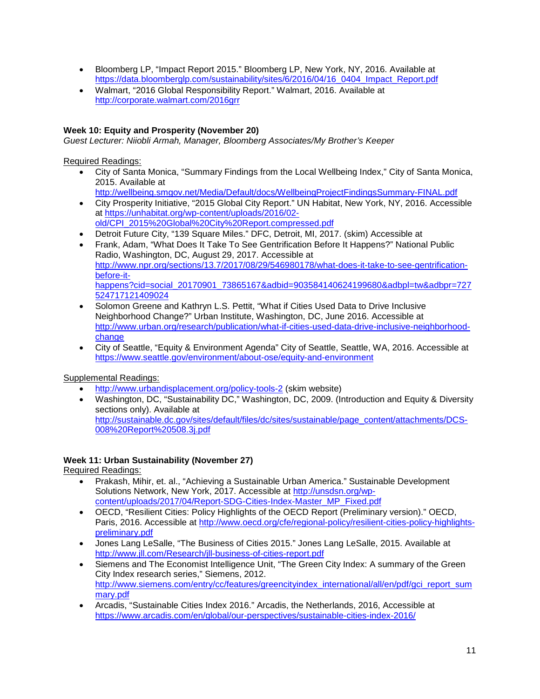- Bloomberg LP, "Impact Report 2015." Bloomberg LP, New York, NY, 2016. Available at [https://data.bloomberglp.com/sustainability/sites/6/2016/04/16\\_0404\\_Impact\\_Report.pdf](https://data.bloomberglp.com/sustainability/sites/6/2016/04/16_0404_Impact_Report.pdf)
- Walmart, "2016 Global Responsibility Report." Walmart, 2016. Available at <http://corporate.walmart.com/2016grr>

### **Week 10: Equity and Prosperity (November 20)**

*Guest Lecturer: Niiobli Armah, Manager, Bloomberg Associates/My Brother's Keeper* 

### Required Readings:

- City of Santa Monica, "Summary Findings from the Local Wellbeing Index," City of Santa Monica, 2015. Available at
	- <http://wellbeing.smgov.net/Media/Default/docs/WellbeingProjectFindingsSummary-FINAL.pdf>
- City Prosperity Initiative, "2015 Global City Report." UN Habitat, New York, NY, 2016. Accessible at [https://unhabitat.org/wp-content/uploads/2016/02](https://unhabitat.org/wp-content/uploads/2016/02-old/CPI_2015%20Global%20City%20Report.compressed.pdf) [old/CPI\\_2015%20Global%20City%20Report.compressed.pdf](https://unhabitat.org/wp-content/uploads/2016/02-old/CPI_2015%20Global%20City%20Report.compressed.pdf)
- Detroit Future City, "139 Square Miles." DFC, Detroit, MI, 2017. (skim) Accessible at
- Frank, Adam, "What Does It Take To See Gentrification Before It Happens?" National Public Radio, Washington, DC, August 29, 2017. Accessible at [http://www.npr.org/sections/13.7/2017/08/29/546980178/what-does-it-take-to-see-gentrification](http://www.npr.org/sections/13.7/2017/08/29/546980178/what-does-it-take-to-see-gentrification-before-it-happens?cid=social_20170901_73865167&adbid=903584140624199680&adbpl=tw&adbpr=727524717121409024)[before-it](http://www.npr.org/sections/13.7/2017/08/29/546980178/what-does-it-take-to-see-gentrification-before-it-happens?cid=social_20170901_73865167&adbid=903584140624199680&adbpl=tw&adbpr=727524717121409024)[happens?cid=social\\_20170901\\_73865167&adbid=903584140624199680&adbpl=tw&adbpr=727](http://www.npr.org/sections/13.7/2017/08/29/546980178/what-does-it-take-to-see-gentrification-before-it-happens?cid=social_20170901_73865167&adbid=903584140624199680&adbpl=tw&adbpr=727524717121409024) [524717121409024](http://www.npr.org/sections/13.7/2017/08/29/546980178/what-does-it-take-to-see-gentrification-before-it-happens?cid=social_20170901_73865167&adbid=903584140624199680&adbpl=tw&adbpr=727524717121409024)
- Solomon Greene and Kathryn L.S. Pettit, "What if Cities Used Data to Drive Inclusive Neighborhood Change?" Urban Institute, Washington, DC, June 2016. Accessible at [http://www.urban.org/research/publication/what-if-cities-used-data-drive-inclusive-neighborhood](http://www.urban.org/research/publication/what-if-cities-used-data-drive-inclusive-neighborhood-change)[change](http://www.urban.org/research/publication/what-if-cities-used-data-drive-inclusive-neighborhood-change)
- City of Seattle, "Equity & Environment Agenda" City of Seattle, Seattle, WA, 2016. Accessible at <https://www.seattle.gov/environment/about-ose/equity-and-environment>

### Supplemental Readings:

- <http://www.urbandisplacement.org/policy-tools-2> (skim website)
- Washington, DC, "Sustainability DC," Washington, DC, 2009. (Introduction and Equity & Diversity sections only). Available at [http://sustainable.dc.gov/sites/default/files/dc/sites/sustainable/page\\_content/attachments/DCS-](http://sustainable.dc.gov/sites/default/files/dc/sites/sustainable/page_content/attachments/DCS-008%20Report%20508.3j.pdf)[008%20Report%20508.3j.pdf](http://sustainable.dc.gov/sites/default/files/dc/sites/sustainable/page_content/attachments/DCS-008%20Report%20508.3j.pdf)

### **Week 11: Urban Sustainability (November 27)**

Required Readings:

- Prakash, Mihir, et. al., "Achieving a Sustainable Urban America." Sustainable Development Solutions Network, New York, 2017. Accessible at [http://unsdsn.org/wp](http://unsdsn.org/wp-content/uploads/2017/04/Report-SDG-Cities-Index-Master_MP_Fixed.pdf)[content/uploads/2017/04/Report-SDG-Cities-Index-Master\\_MP\\_Fixed.pdf](http://unsdsn.org/wp-content/uploads/2017/04/Report-SDG-Cities-Index-Master_MP_Fixed.pdf)
- OECD, "Resilient Cities: Policy Highlights of the OECD Report (Preliminary version)." OECD, Paris, 2016. Accessible at [http://www.oecd.org/cfe/regional-policy/resilient-cities-policy-highlights](http://www.oecd.org/cfe/regional-policy/resilient-cities-policy-highlights-preliminary.pdf)[preliminary.pdf](http://www.oecd.org/cfe/regional-policy/resilient-cities-policy-highlights-preliminary.pdf)
- Jones Lang LeSalle, "The Business of Cities 2015." Jones Lang LeSalle, 2015. Available at <http://www.jll.com/Research/jll-business-of-cities-report.pdf>
- Siemens and The Economist Intelligence Unit, "The Green City Index: A summary of the Green City Index research series," Siemens, 2012. [http://www.siemens.com/entry/cc/features/greencityindex\\_international/all/en/pdf/gci\\_report\\_sum](http://www.siemens.com/entry/cc/features/greencityindex_international/all/en/pdf/gci_report_summary.pdf) [mary.pdf](http://www.siemens.com/entry/cc/features/greencityindex_international/all/en/pdf/gci_report_summary.pdf)
- Arcadis, "Sustainable Cities Index 2016." Arcadis, the Netherlands, 2016, Accessible at <https://www.arcadis.com/en/global/our-perspectives/sustainable-cities-index-2016/>